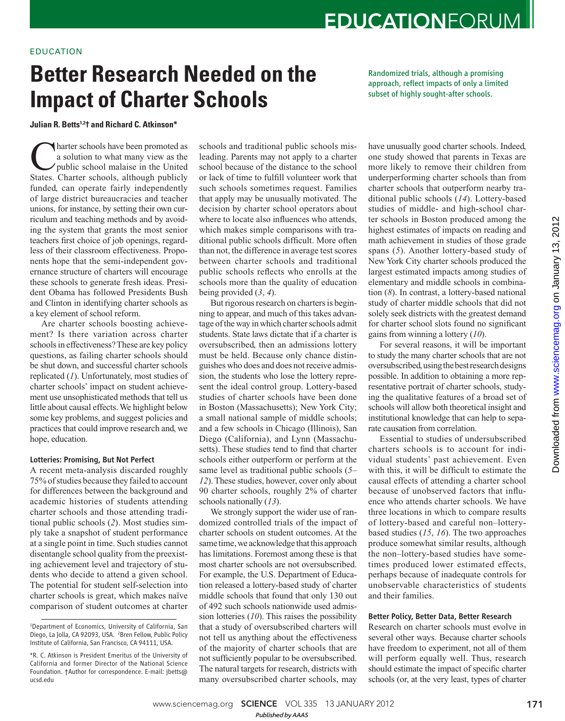## EDUCATION

# **Better Research Needed on the Impact of Charter Schools**

**Julian R. Betts 1, 2 † and Richard C. Atkinson \*** 

**C** harter schools have been promoted as<br>a solution to what many view as the<br>public school malaise in the United<br>States. Charter schools, although publicly a solution to what many view as the public school malaise in the United States. Charter schools, although publicly funded, can operate fairly independently of large district bureaucracies and teacher unions, for instance, by setting their own curriculum and teaching methods and by avoiding the system that grants the most senior teachers first choice of job openings, regardless of their classroom effectiveness. Proponents hope that the semi-independent governance structure of charters will encourage these schools to generate fresh ideas. President Obama has followed Presidents Bush and Clinton in identifying charter schools as a key element of school reform.

Are charter schools boosting achievement? Is there variation across charter schools in effectiveness? These are key policy questions, as failing charter schools should be shut down, and successful charter schools replicated (1). Unfortunately, most studies of charter schools' impact on student achievement use unsophisticated methods that tell us little about causal effects. We highlight below some key problems, and suggest policies and practices that could improve research and, we hope, education.

### Lotteries: Promising, But Not Perfect

A recent meta-analysis discarded roughly 75% of studies because they failed to account for differences between the background and academic histories of students attending charter schools and those attending traditional public schools (2). Most studies simply take a snapshot of student performance at a single point in time. Such studies cannot disentangle school quality from the preexisting achievement level and trajectory of students who decide to attend a given school. The potential for student self-selection into charter schools is great, which makes naïve comparison of student outcomes at charter

schools and traditional public schools misleading. Parents may not apply to a charter school because of the distance to the school or lack of time to fulfill volunteer work that such schools sometimes request. Families that apply may be unusually motivated. The decision by charter school operators about where to locate also influences who attends, which makes simple comparisons with traditional public schools difficult. More often than not, the difference in average test scores between charter schools and traditional public schools reflects who enrolls at the schools more than the quality of education being provided  $(3, 4)$ .

But rigorous research on charters is beginning to appear, and much of this takes advantage of the way in which charter schools admit students. State laws dictate that if a charter is oversubscribed, then an admissions lottery must be held. Because only chance distinguishes who does and does not receive admission, the students who lose the lottery represent the ideal control group. Lottery-based studies of charter schools have been done in Boston (Massachusetts); New York City; a small national sample of middle schools; and a few schools in Chicago (Illinois), San Diego (California), and Lynn (Massachusetts). These studies tend to find that charter schools either outperform or perform at the same level as traditional public schools (5– *12*). These studies, however, cover only about 90 charter schools, roughly 2% of charter schools nationally (13).

We strongly support the wider use of randomized controlled trials of the impact of charter schools on student outcomes. At the same time, we acknowledge that this approach has limitations. Foremost among these is that most charter schools are not oversubscribed. For example, the U.S. Department of Education released a lottery-based study of charter middle schools that found that only 130 out of 492 such schools nationwide used admission lotteries  $(10)$ . This raises the possibility that a study of oversubscribed charters will not tell us anything about the effectiveness of the majority of charter schools that are not sufficiently popular to be oversubscribed. The natural targets for research, districts with many oversubscribed charter schools, may

Randomized trials, although a promising approach, reflect impacts of only a limited subset of highly sought-after schools.

have unusually good charter schools. Indeed, one study showed that parents in Texas are more likely to remove their children from underperforming charter schools than from charter schools that outperform nearby traditional public schools (14). Lottery-based studies of middle- and high-school charter schools in Boston produced among the highest estimates of impacts on reading and math achievement in studies of those grade spans (5). Another lottery-based study of New York City charter schools produced the largest estimated impacts among studies of elementary and middle schools in combination  $(8)$ . In contrast, a lottery-based national study of charter middle schools that did not solely seek districts with the greatest demand for charter school slots found no significant gains from winning a lottery ( *10*).

For several reasons, it will be important to study the many charter schools that are not oversubscribed, using the best research designs possible. In addition to obtaining a more representative portrait of charter schools, studying the qualitative features of a broad set of schools will allow both theoretical insight and institutional knowledge that can help to separate causation from correlation.

Essential to studies of undersubscribed charters schools is to account for individual students' past achievement. Even with this, it will be difficult to estimate the causal effects of attending a charter school because of unobserved factors that influence who attends charter schools. We have three locations in which to compare results of lottery-based and careful non–lotterybased studies ( *15*, *16*). The two approaches produce somewhat similar results, although the non–lottery-based studies have sometimes produced lower estimated effects, perhaps because of inadequate controls for unobservable characteristics of students and their families.

### Better Policy, Better Data, Better Research

Research on charter schools must evolve in several other ways. Because charter schools have freedom to experiment, not all of them will perform equally well. Thus, research should estimate the impact of specific charter schools (or, at the very least, types of charter

<sup>1</sup>Department of Economics, University of California, San Diego, La Jolla, CA 92093, USA. <sup>2</sup>Bren Fellow, Public Policy Institute of California, San Francisco, CA 94111, USA.

<sup>\*</sup>R. C. Atkinson is President Emeritus of the University of California and former Director of the National Science Foundation. †Author for correspondence. E-mail: jbetts@ ucsd.edu